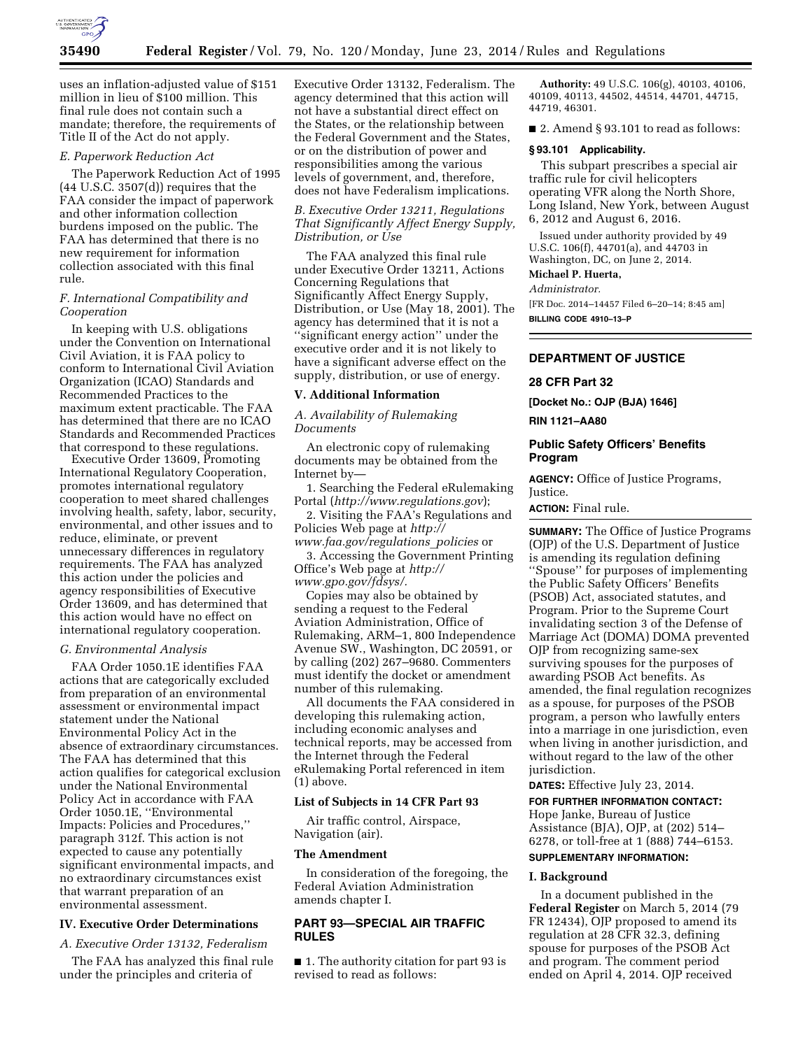

uses an inflation-adjusted value of \$151 million in lieu of \$100 million. This final rule does not contain such a mandate; therefore, the requirements of Title II of the Act do not apply.

#### *E. Paperwork Reduction Act*

The Paperwork Reduction Act of 1995  $(44 \text{ U.S.C. } 3507\text{ (d)})$  requires that the FAA consider the impact of paperwork and other information collection burdens imposed on the public. The FAA has determined that there is no new requirement for information collection associated with this final rule.

## *F. International Compatibility and Cooperation*

In keeping with U.S. obligations under the Convention on International Civil Aviation, it is FAA policy to conform to International Civil Aviation Organization (ICAO) Standards and Recommended Practices to the maximum extent practicable. The FAA has determined that there are no ICAO Standards and Recommended Practices that correspond to these regulations.

Executive Order 13609, Promoting International Regulatory Cooperation, promotes international regulatory cooperation to meet shared challenges involving health, safety, labor, security, environmental, and other issues and to reduce, eliminate, or prevent unnecessary differences in regulatory requirements. The FAA has analyzed this action under the policies and agency responsibilities of Executive Order 13609, and has determined that this action would have no effect on international regulatory cooperation.

### *G. Environmental Analysis*

FAA Order 1050.1E identifies FAA actions that are categorically excluded from preparation of an environmental assessment or environmental impact statement under the National Environmental Policy Act in the absence of extraordinary circumstances. The FAA has determined that this action qualifies for categorical exclusion under the National Environmental Policy Act in accordance with FAA Order 1050.1E, ''Environmental Impacts: Policies and Procedures,'' paragraph 312f. This action is not expected to cause any potentially significant environmental impacts, and no extraordinary circumstances exist that warrant preparation of an environmental assessment.

## **IV. Executive Order Determinations**

*A. Executive Order 13132, Federalism* 

The FAA has analyzed this final rule under the principles and criteria of

Executive Order 13132, Federalism. The agency determined that this action will not have a substantial direct effect on the States, or the relationship between the Federal Government and the States, or on the distribution of power and responsibilities among the various levels of government, and, therefore, does not have Federalism implications.

## *B. Executive Order 13211, Regulations That Significantly Affect Energy Supply, Distribution, or Use*

The FAA analyzed this final rule under Executive Order 13211, Actions Concerning Regulations that Significantly Affect Energy Supply, Distribution, or Use (May 18, 2001). The agency has determined that it is not a ''significant energy action'' under the executive order and it is not likely to have a significant adverse effect on the supply, distribution, or use of energy.

#### **V. Additional Information**

*A. Availability of Rulemaking Documents* 

An electronic copy of rulemaking documents may be obtained from the Internet by—

1. Searching the Federal eRulemaking Portal (*<http://www.regulations.gov>*);

2. Visiting the FAA's Regulations and Policies Web page at *[http://](http://www.faa.gov/regulations_policies) [www.faa.gov/regulations](http://www.faa.gov/regulations_policies)*\_*policies* or

3. Accessing the Government Printing Office's Web page at *[http://](http://www.gpo.gov/fdsys/) [www.gpo.gov/fdsys/.](http://www.gpo.gov/fdsys/)* 

Copies may also be obtained by sending a request to the Federal Aviation Administration, Office of Rulemaking, ARM–1, 800 Independence Avenue SW., Washington, DC 20591, or by calling (202) 267–9680. Commenters must identify the docket or amendment number of this rulemaking.

All documents the FAA considered in developing this rulemaking action, including economic analyses and technical reports, may be accessed from the Internet through the Federal eRulemaking Portal referenced in item (1) above.

## **List of Subjects in 14 CFR Part 93**

Air traffic control, Airspace, Navigation (air).

#### **The Amendment**

In consideration of the foregoing, the Federal Aviation Administration amends chapter I.

## **PART 93—SPECIAL AIR TRAFFIC RULES**

■ 1. The authority citation for part 93 is revised to read as follows:

**Authority:** 49 U.S.C. 106(g), 40103, 40106, 40109, 40113, 44502, 44514, 44701, 44715, 44719, 46301.

■ 2. Amend § 93.101 to read as follows:

## **§ 93.101 Applicability.**

This subpart prescribes a special air traffic rule for civil helicopters operating VFR along the North Shore, Long Island, New York, between August 6, 2012 and August 6, 2016.

Issued under authority provided by 49 U.S.C. 106(f), 44701(a), and 44703 in Washington, DC, on June 2, 2014.

## **Michael P. Huerta,**

*Administrator.* 

[FR Doc. 2014–14457 Filed 6–20–14; 8:45 am] **BILLING CODE 4910–13–P** 

## **DEPARTMENT OF JUSTICE**

#### **28 CFR Part 32**

**[Docket No.: OJP (BJA) 1646]** 

**RIN 1121–AA80** 

## **Public Safety Officers' Benefits Program**

**AGENCY:** Office of Justice Programs, Justice.

**ACTION:** Final rule.

**SUMMARY:** The Office of Justice Programs (OJP) of the U.S. Department of Justice is amending its regulation defining ''Spouse'' for purposes of implementing the Public Safety Officers' Benefits (PSOB) Act, associated statutes, and Program. Prior to the Supreme Court invalidating section 3 of the Defense of Marriage Act (DOMA) DOMA prevented OJP from recognizing same-sex surviving spouses for the purposes of awarding PSOB Act benefits. As amended, the final regulation recognizes as a spouse, for purposes of the PSOB program, a person who lawfully enters into a marriage in one jurisdiction, even when living in another jurisdiction, and without regard to the law of the other jurisdiction.

**DATES:** Effective July 23, 2014.

## **FOR FURTHER INFORMATION CONTACT:**

Hope Janke, Bureau of Justice Assistance (BJA), OJP, at (202) 514– 6278, or toll-free at 1 (888) 744–6153. **SUPPLEMENTARY INFORMATION:** 

## **I. Background**

In a document published in the **Federal Register** on March 5, 2014 (79 FR 12434), OJP proposed to amend its regulation at 28 CFR 32.3, defining spouse for purposes of the PSOB Act and program. The comment period ended on April 4, 2014. OJP received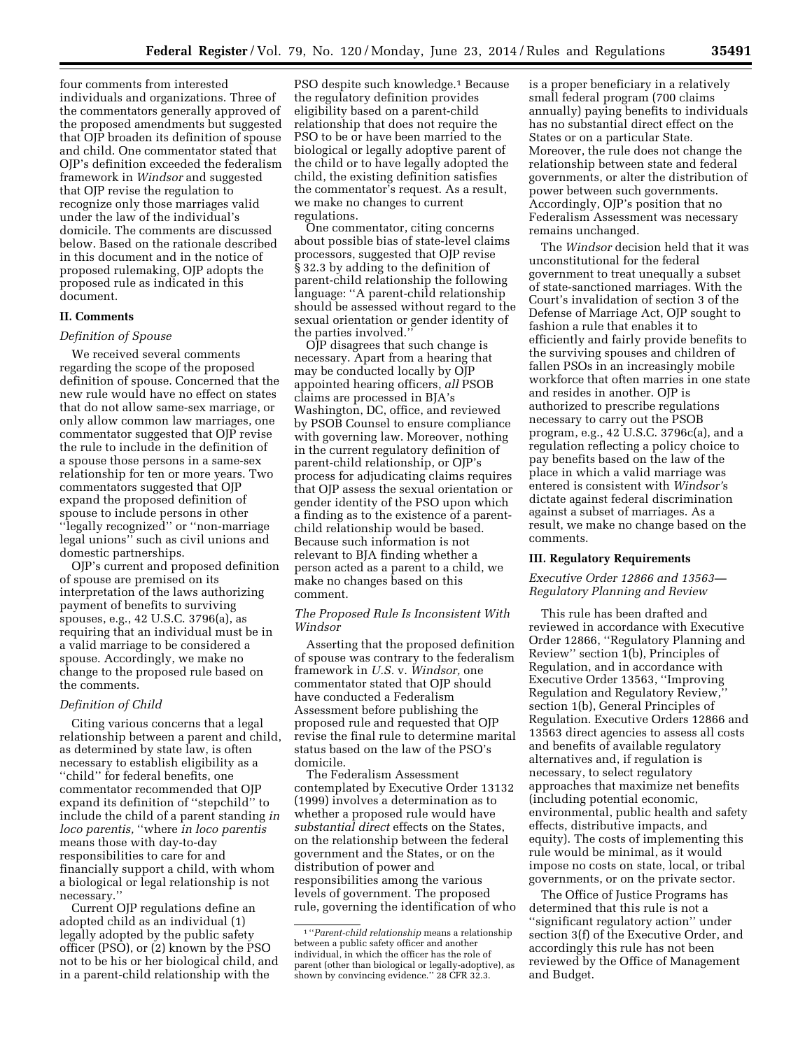four comments from interested individuals and organizations. Three of the commentators generally approved of the proposed amendments but suggested that OJP broaden its definition of spouse and child. One commentator stated that OJP's definition exceeded the federalism framework in *Windsor* and suggested that OJP revise the regulation to recognize only those marriages valid under the law of the individual's domicile. The comments are discussed below. Based on the rationale described in this document and in the notice of proposed rulemaking, OJP adopts the proposed rule as indicated in this document.

## **II. Comments**

## *Definition of Spouse*

We received several comments regarding the scope of the proposed definition of spouse. Concerned that the new rule would have no effect on states that do not allow same-sex marriage, or only allow common law marriages, one commentator suggested that OJP revise the rule to include in the definition of a spouse those persons in a same-sex relationship for ten or more years. Two commentators suggested that OJP expand the proposed definition of spouse to include persons in other ''legally recognized'' or ''non-marriage legal unions'' such as civil unions and domestic partnerships.

OJP's current and proposed definition of spouse are premised on its interpretation of the laws authorizing payment of benefits to surviving spouses, e.g., 42 U.S.C. 3796(a), as requiring that an individual must be in a valid marriage to be considered a spouse. Accordingly, we make no change to the proposed rule based on the comments.

## *Definition of Child*

Citing various concerns that a legal relationship between a parent and child, as determined by state law, is often necessary to establish eligibility as a ''child'' for federal benefits, one commentator recommended that OJP expand its definition of ''stepchild'' to include the child of a parent standing *in loco parentis,* ''where *in loco parentis*  means those with day-to-day responsibilities to care for and financially support a child, with whom a biological or legal relationship is not necessary.''

Current OJP regulations define an adopted child as an individual (1) legally adopted by the public safety officer (PSO), or (2) known by the PSO not to be his or her biological child, and in a parent-child relationship with the

PSO despite such knowledge.<sup>1</sup> Because the regulatory definition provides eligibility based on a parent-child relationship that does not require the PSO to be or have been married to the biological or legally adoptive parent of the child or to have legally adopted the child, the existing definition satisfies the commentator's request. As a result, we make no changes to current regulations.

One commentator, citing concerns about possible bias of state-level claims processors, suggested that OJP revise § 32.3 by adding to the definition of parent-child relationship the following language: ''A parent-child relationship should be assessed without regard to the sexual orientation or gender identity of the parties involved.''

OJP disagrees that such change is necessary. Apart from a hearing that may be conducted locally by OJP appointed hearing officers, *all* PSOB claims are processed in BJA's Washington, DC, office, and reviewed by PSOB Counsel to ensure compliance with governing law. Moreover, nothing in the current regulatory definition of parent-child relationship, or OJP's process for adjudicating claims requires that OJP assess the sexual orientation or gender identity of the PSO upon which a finding as to the existence of a parentchild relationship would be based. Because such information is not relevant to BJA finding whether a person acted as a parent to a child, we make no changes based on this comment.

#### *The Proposed Rule Is Inconsistent With Windsor*

Asserting that the proposed definition of spouse was contrary to the federalism framework in *U.S.* v. *Windsor,* one commentator stated that OJP should have conducted a Federalism Assessment before publishing the proposed rule and requested that OJP revise the final rule to determine marital status based on the law of the PSO's domicile.

The Federalism Assessment contemplated by Executive Order 13132 (1999) involves a determination as to whether a proposed rule would have *substantial direct* effects on the States, on the relationship between the federal government and the States, or on the distribution of power and responsibilities among the various levels of government. The proposed rule, governing the identification of who is a proper beneficiary in a relatively small federal program (700 claims annually) paying benefits to individuals has no substantial direct effect on the States or on a particular State. Moreover, the rule does not change the relationship between state and federal governments, or alter the distribution of power between such governments. Accordingly, OJP's position that no Federalism Assessment was necessary remains unchanged.

The *Windsor* decision held that it was unconstitutional for the federal government to treat unequally a subset of state-sanctioned marriages. With the Court's invalidation of section 3 of the Defense of Marriage Act, OJP sought to fashion a rule that enables it to efficiently and fairly provide benefits to the surviving spouses and children of fallen PSOs in an increasingly mobile workforce that often marries in one state and resides in another. OJP is authorized to prescribe regulations necessary to carry out the PSOB program, e.g., 42 U.S.C. 3796c(a), and a regulation reflecting a policy choice to pay benefits based on the law of the place in which a valid marriage was entered is consistent with *Windsor'*s dictate against federal discrimination against a subset of marriages. As a result, we make no change based on the comments.

## **III. Regulatory Requirements**

## *Executive Order 12866 and 13563— Regulatory Planning and Review*

This rule has been drafted and reviewed in accordance with Executive Order 12866, ''Regulatory Planning and Review'' section 1(b), Principles of Regulation, and in accordance with Executive Order 13563, ''Improving Regulation and Regulatory Review,'' section 1(b), General Principles of Regulation. Executive Orders 12866 and 13563 direct agencies to assess all costs and benefits of available regulatory alternatives and, if regulation is necessary, to select regulatory approaches that maximize net benefits (including potential economic, environmental, public health and safety effects, distributive impacts, and equity). The costs of implementing this rule would be minimal, as it would impose no costs on state, local, or tribal governments, or on the private sector.

The Office of Justice Programs has determined that this rule is not a ''significant regulatory action'' under section 3(f) of the Executive Order, and accordingly this rule has not been reviewed by the Office of Management and Budget.

<sup>1</sup> ''*Parent-child relationship* means a relationship between a public safety officer and another individual, in which the officer has the role of parent (other than biological or legally-adoptive), as shown by convincing evidence." 28 CFR 32.3.